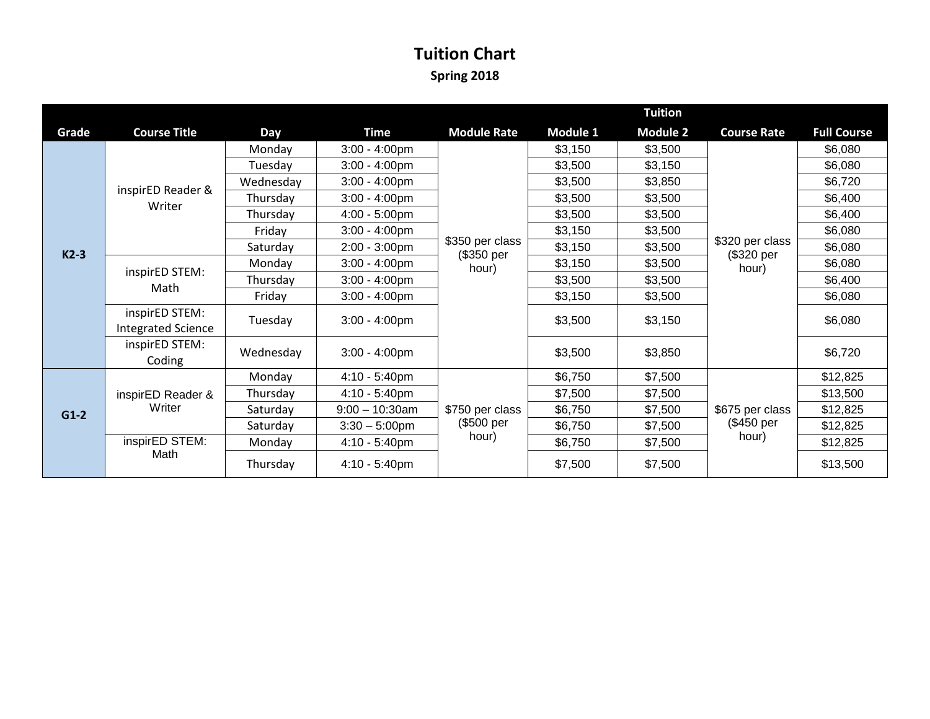## **Tuition Chart Spring 2018**

|        |                                             |            |                   | <b>Tuition</b>                         |          |                 |                                        |                    |
|--------|---------------------------------------------|------------|-------------------|----------------------------------------|----------|-----------------|----------------------------------------|--------------------|
| Grade  | <b>Course Title</b>                         | <b>Day</b> | <b>Time</b>       | <b>Module Rate</b>                     | Module 1 | <b>Module 2</b> | <b>Course Rate</b>                     | <b>Full Course</b> |
|        | inspirED Reader &<br>Writer                 | Monday     | $3:00 - 4:00$ pm  |                                        | \$3,150  | \$3,500         | \$320 per class<br>(\$320 per<br>hour) | \$6,080            |
|        |                                             | Tuesday    | $3:00 - 4:00$ pm  |                                        | \$3,500  | \$3,150         |                                        | \$6,080            |
|        |                                             | Wednesday  | $3:00 - 4:00$ pm  |                                        | \$3,500  | \$3,850         |                                        | \$6,720            |
|        |                                             | Thursday   | $3:00 - 4:00$ pm  |                                        | \$3,500  | \$3,500         |                                        | \$6,400            |
|        |                                             | Thursday   | $4:00 - 5:00$ pm  |                                        | \$3,500  | \$3,500         |                                        | \$6,400            |
| $K2-3$ |                                             | Friday     | $3:00 - 4:00$ pm  |                                        | \$3,150  | \$3,500         |                                        | \$6,080            |
|        |                                             | Saturday   | $2:00 - 3:00$ pm  | \$350 per class<br>(\$350 per          | \$3,150  | \$3,500         |                                        | \$6,080            |
|        | inspirED STEM:<br>Math                      | Monday     | $3:00 - 4:00$ pm  | hour)                                  | \$3,150  | \$3,500         |                                        | \$6,080            |
|        |                                             | Thursday   | $3:00 - 4:00$ pm  |                                        | \$3,500  | \$3,500         |                                        | \$6,400            |
|        |                                             | Friday     | $3:00 - 4:00$ pm  |                                        | \$3,150  | \$3,500         |                                        | \$6,080            |
|        | inspirED STEM:<br><b>Integrated Science</b> | Tuesday    | $3:00 - 4:00$ pm  |                                        | \$3,500  | \$3,150         |                                        | \$6,080            |
|        | inspirED STEM:<br>Coding                    | Wednesday  | $3:00 - 4:00$ pm  |                                        | \$3,500  | \$3,850         |                                        | \$6,720            |
| $G1-2$ | inspirED Reader &<br>Writer                 | Monday     | $4:10 - 5:40$ pm  | \$750 per class<br>(\$500 per<br>hour) | \$6,750  | \$7,500         | \$675 per class<br>(\$450 per<br>hour) | \$12,825           |
|        |                                             | Thursday   | $4:10 - 5:40$ pm  |                                        | \$7,500  | \$7,500         |                                        | \$13,500           |
|        |                                             | Saturday   | $9:00 - 10:30$ am |                                        | \$6,750  | \$7,500         |                                        | \$12,825           |
|        |                                             | Saturday   | $3:30 - 5:00$ pm  |                                        | \$6,750  | \$7,500         |                                        | \$12,825           |
|        | inspirED STEM:<br>Math                      | Monday     | 4:10 - 5:40pm     |                                        | \$6,750  | \$7,500         |                                        | \$12,825           |
|        |                                             | Thursday   | $4:10 - 5:40$ pm  |                                        | \$7,500  | \$7,500         |                                        | \$13,500           |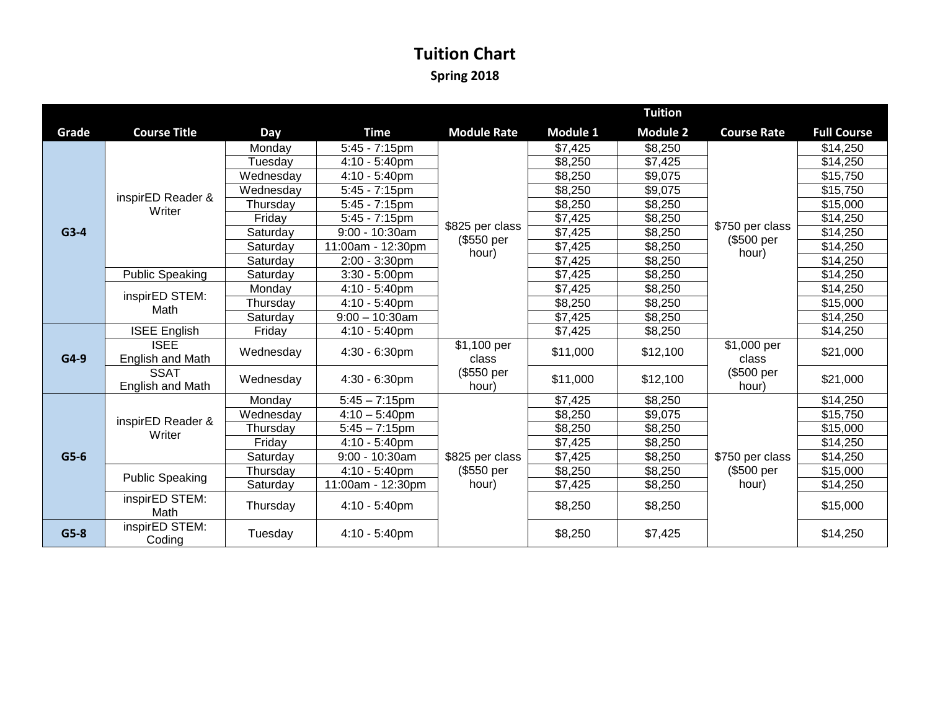## **Tuition Chart Spring 2018**

|        |                                 |            |                             | <b>Tuition</b>                |          |                 |                                        |                    |
|--------|---------------------------------|------------|-----------------------------|-------------------------------|----------|-----------------|----------------------------------------|--------------------|
| Grade  | <b>Course Title</b>             | <b>Day</b> | <b>Time</b>                 | <b>Module Rate</b>            | Module 1 | <b>Module 2</b> | <b>Course Rate</b>                     | <b>Full Course</b> |
|        |                                 | Monday     | $5:45 - 7:15$ pm            |                               | \$7,425  | \$8,250         |                                        | \$14,250           |
|        |                                 | Tuesday    | 4:10 - 5:40pm               |                               | \$8,250  | \$7,425         |                                        | \$14,250           |
|        | inspirED Reader &<br>Writer     | Wednesday  | 4:10 - 5:40pm               |                               | \$8,250  | \$9,075         |                                        | \$15,750           |
|        |                                 | Wednesday  | $\overline{5:}45 - 7:15$ pm |                               |          | \$9,075         |                                        | \$15,750           |
|        |                                 | Thursday   | $5:45 - 7:15$ pm            |                               | \$8,250  | \$8,250         | \$750 per class<br>(\$500 per<br>hour) | \$15,000           |
|        |                                 | Friday     | $5:45 - 7:15$ pm            |                               | \$7,425  | \$8,250         |                                        | \$14,250           |
| $G3-4$ |                                 | Saturday   | $9:00 - 10:30$ am           | \$825 per class<br>(\$550 per | \$7,425  | \$8,250         |                                        | \$14,250           |
|        |                                 | Saturday   | 11:00am - 12:30pm           | hour)                         | \$7,425  | \$8,250         |                                        | \$14,250           |
|        |                                 | Saturday   | 2:00 - 3:30pm               |                               | \$7,425  | \$8,250         |                                        | \$14,250           |
|        | <b>Public Speaking</b>          | Saturday   | $3:30 - 5:00$ pm            |                               |          | \$8,250         |                                        | \$14,250           |
|        | inspirED STEM:<br>Math          | Monday     | $4:10 - 5:40$ pm            |                               | \$7,425  | \$8,250         |                                        | \$14,250           |
|        |                                 | Thursday   | 4:10 - 5:40pm               |                               | \$8,250  | \$8,250         |                                        | \$15,000           |
|        |                                 | Saturday   | $9:00 - 10:30$ am           |                               |          | \$8,250         |                                        | \$14,250           |
|        | <b>ISEE English</b>             | Friday     | 4:10 - 5:40pm               |                               | \$7,425  | \$8,250         |                                        | \$14,250           |
| $G4-9$ | <b>ISEE</b><br>English and Math | Wednesday  | $4:30 - 6:30$ pm            | \$1,100 per<br>class          | \$11,000 | \$12,100        | \$1,000 per<br>class                   | \$21,000           |
|        | <b>SSAT</b><br>English and Math | Wednesday  | 4:30 - 6:30pm               | (\$550 per<br>hour)           |          | \$12,100        | (\$500 per<br>hour)                    | \$21,000           |
|        | inspirED Reader &<br>Writer     | Monday     | $5:45 - 7:15$ pm            |                               | \$7,425  | \$8,250         |                                        | \$14,250           |
|        |                                 | Wednesday  | $4:10 - 5:40$ pm            |                               | \$8,250  | \$9,075         |                                        | \$15,750           |
|        |                                 | Thursday   | $5:45 - 7:15$ pm            |                               | \$8,250  | \$8,250         |                                        | \$15,000           |
| $G5-6$ |                                 | Friday     | 4:10 - 5:40pm               |                               | \$7,425  | \$8,250         | \$750 per class<br>(\$500 per<br>hour) | \$14,250           |
|        |                                 | Saturday   | $9:00 - 10:30$ am           | \$825 per class               | \$7,425  | \$8,250         |                                        | \$14,250           |
|        | <b>Public Speaking</b>          | Thursday   | 4:10 - 5:40pm               | (\$550 per                    | \$8,250  | \$8,250         |                                        | \$15,000           |
|        |                                 | Saturday   | 11:00am - 12:30pm           | hour)                         | \$7,425  | \$8,250         |                                        | \$14,250           |
|        | inspirED STEM:<br>Math          | Thursday   | $4:10 - 5:40$ pm            |                               | \$8,250  | \$8,250         |                                        | \$15,000           |
| $G5-8$ | inspirED STEM:<br>Coding        | Tuesday    | $4:10 - 5:40$ pm            |                               | \$8,250  | \$7,425         |                                        | \$14,250           |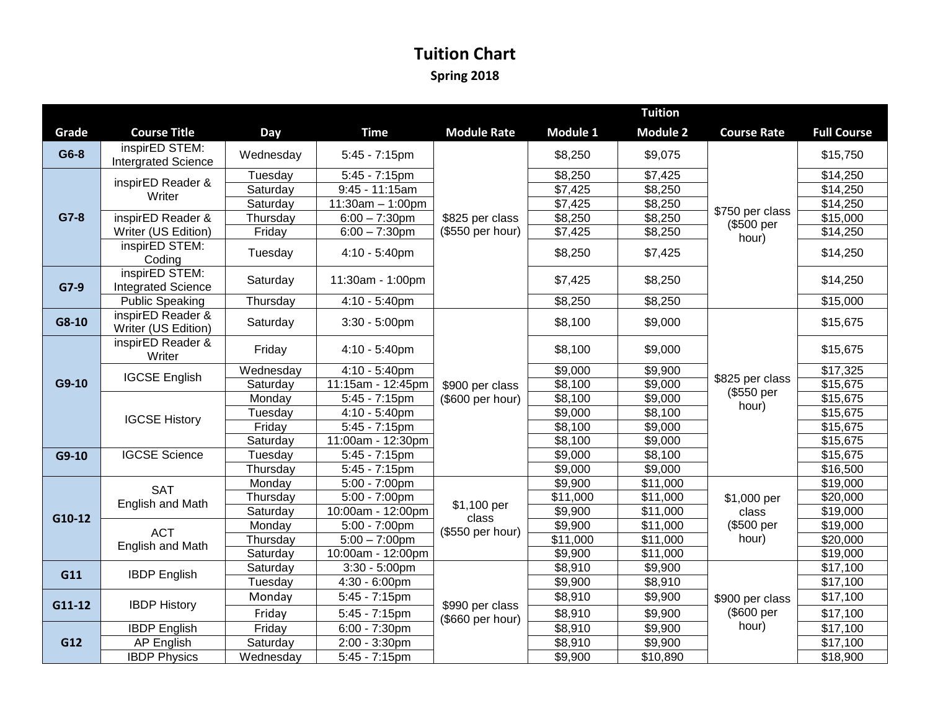## **Tuition Chart Spring 2018**

|        |                                              |                      |                                      |                                     | <b>Tuition</b>      |                                  |                                             |                      |  |
|--------|----------------------------------------------|----------------------|--------------------------------------|-------------------------------------|---------------------|----------------------------------|---------------------------------------------|----------------------|--|
| Grade  | <b>Course Title</b>                          | Day                  | <b>Time</b>                          | <b>Module Rate</b>                  | Module 1            | <b>Module 2</b>                  | <b>Course Rate</b>                          | <b>Full Course</b>   |  |
| G6-8   | inspirED STEM:<br><b>Intergrated Science</b> | Wednesday            | $5:45 - 7:15$ pm                     |                                     | \$8,250             | \$9,075                          | \$750 per class<br>(\$500 per<br>hour)      | \$15,750             |  |
|        | inspirED Reader &                            | Tuesday              | $5:45 - 7:15$ pm                     |                                     | \$8,250             | \$7,425                          |                                             | \$14,250             |  |
|        | Writer                                       | Saturday             | 9:45 - 11:15am                       |                                     | \$7,425             | \$8,250                          |                                             | \$14,250             |  |
|        |                                              | Saturday             | $11:30am - 1:00pm$                   |                                     | \$7,425             | \$8,250                          |                                             | \$14,250             |  |
| $G7-8$ | inspirED Reader &                            | Thursday             | $6:00 - 7:30$ pm                     | \$825 per class                     | \$8,250             | \$8,250                          |                                             | \$15,000             |  |
|        | Writer (US Edition)                          | Friday               | $6:00 - 7:30$ pm                     | (\$550 per hour)                    | \$7,425             | \$8,250                          |                                             | \$14,250             |  |
|        | inspirED STEM:<br>Coding                     | Tuesday              | 4:10 - 5:40pm                        |                                     | \$8,250             | \$7,425                          |                                             | \$14,250             |  |
| $G7-9$ | inspirED STEM:<br><b>Integrated Science</b>  | Saturday             | 11:30am - 1:00pm                     |                                     | \$7,425             | \$8,250                          |                                             | \$14,250             |  |
|        | <b>Public Speaking</b>                       | Thursday             | $4:10 - 5:40$ pm                     |                                     | $\sqrt{$8,250}$     | $\sqrt{$8,250}$                  |                                             | \$15,000             |  |
| G8-10  | inspirED Reader &<br>Writer (US Edition)     | Saturday             | $3:30 - 5:00$ pm                     |                                     | \$8,100             | \$9,000                          | \$825 per class<br>(\$550 per<br>hour)      | \$15,675             |  |
|        | inspirED Reader &<br>Writer                  | Friday               | $4:10 - 5:40$ pm                     |                                     | \$8,100             | \$9,000                          |                                             | \$15,675             |  |
|        | <b>IGCSE English</b>                         | Wednesday            | 4:10 - 5:40pm                        |                                     | \$9,000             | \$9,900                          |                                             | \$17,325             |  |
| G9-10  |                                              | Saturday             | 11:15am - 12:45pm                    | \$900 per class                     | \$8,100             | \$9,000                          |                                             | \$15,675             |  |
|        | <b>IGCSE History</b>                         | Monday               | $5:45 - 7:15$ pm                     | (\$600 per hour)                    | \$8,100             | \$9,000                          |                                             | \$15,675             |  |
|        |                                              | Tuesday              | 4:10 - 5:40pm                        |                                     | \$9,000             | \$8,100                          |                                             | \$15,675             |  |
|        |                                              | Friday               | $5:45 - 7:15$ pm                     |                                     | \$8,100             | \$9,000                          |                                             | $\overline{$}15,675$ |  |
|        |                                              | Saturday             | 11:00am - 12:30pm                    |                                     | \$8,100             | \$9,000                          |                                             | \$15,675             |  |
| G9-10  | <b>IGCSE Science</b>                         | Tuesday              | 5:45 - 7:15pm                        |                                     | \$9,000             | \$8,100                          |                                             | \$15,675             |  |
|        |                                              | Thursday             | $5:45 - 7:15$ pm                     |                                     | \$9,000             | \$9,000                          |                                             | \$16,500             |  |
|        | <b>SAT</b><br>English and Math               | Monday               | $5:00 - 7:00$ pm<br>$5:00 - 7:00$ pm |                                     | \$9,900<br>\$11,000 | \$11,000<br>$\overline{$}11,000$ | \$1,000 per<br>class<br>(\$500 per<br>hour) | \$19,000<br>\$20,000 |  |
|        |                                              | Thursday<br>Saturday | 10:00am - 12:00pm                    | \$1,100 per                         | \$9,900             | \$11,000                         |                                             | \$19,000             |  |
| G10-12 | <b>ACT</b><br>English and Math               | Monday               | $5:00 - 7:00$ pm                     | class<br>(\$550 per hour)           | \$9,900             | \$11,000                         |                                             | \$19,000             |  |
|        |                                              | Thursday             | $5:00 - 7:00$ pm                     |                                     | \$11,000            | \$11,000                         |                                             | \$20,000             |  |
|        |                                              | Saturday             | 10:00am - 12:00pm                    |                                     |                     | \$11,000                         |                                             | \$19,000             |  |
|        |                                              | Saturday             | $3:30 - 5:00$ pm                     |                                     | $\overline{$8,910}$ | \$9,900                          | \$900 per class<br>(\$600 per<br>hour)      | \$17,100             |  |
| G11    | <b>IBDP English</b>                          | Tuesday              | 4:30 - 6:00pm                        |                                     | \$9,900             | \$8,910                          |                                             | \$17,100             |  |
| G11-12 | <b>IBDP History</b>                          | Monday               | $5:45 - 7:15$ pm                     | \$990 per class<br>(\$660 per hour) | \$8,910             | \$9,900                          |                                             | \$17,100             |  |
|        |                                              | Friday               | $5:45 - 7:15$ pm                     |                                     | \$8,910             | \$9,900                          |                                             | \$17,100             |  |
| G12    | <b>IBDP</b> English                          | Friday               | $6:00 - 7:30$ pm                     |                                     | 38,910              | \$9,900                          |                                             | \$17,100             |  |
|        | AP English                                   | Saturday             | 2:00 - 3:30pm                        |                                     | $\overline{$8,910}$ | $\sqrt{$9,900}$                  |                                             | \$17,100             |  |
|        | <b>IBDP Physics</b>                          | Wednesday            | 5:45 - 7:15pm                        |                                     | \$9,900             | \$10,890                         |                                             | \$18,900             |  |